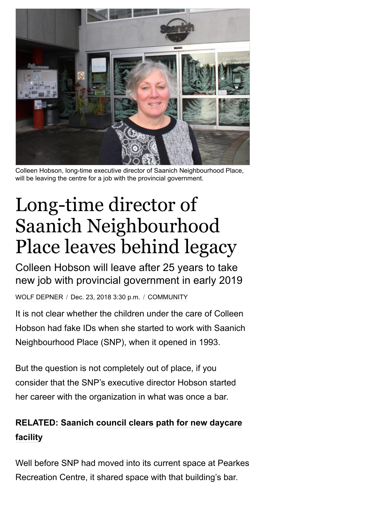

Colleen Hobson, long-time executive director of Saanich Neighbourhood Place, will be leaving the centre for a job with the provincial government.

## Long-time director of Saanich Neighbourhood Place leaves behind legacy

Colleen Hobson will leave after 25 years to take new job with provincial government in early 2019

WOLF [DEPNER](https://www.saanichnews.com/author/wolfgang-depner/) / Dec. 23, 2018 3:30 p.m. / [COMMUNITY](https://www.saanichnews.com/community/)

It is not clear whether the children under the care of Colleen Hobson had fake IDs when she started to work with Saanich Neighbourhood Place (SNP), when it opened in 1993.

But the question is not completely out of place, if you consider that the SNP's executive director Hobson started her career with the organization in what was once a bar.

## **[RELATED: Saanich council clears path for new daycare](https://www.saanichnews.com/news/saanich-council-clears-path-for-new-daycare-facility/) facility**

Well before SNP had moved into its current space at Pearkes Recreation Centre, it shared space with that building's bar.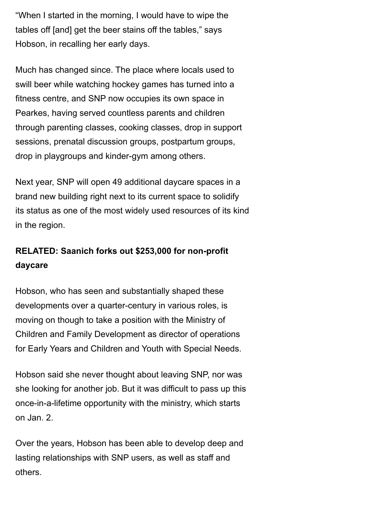"When I started in the morning, I would have to wipe the tables off [and] get the beer stains off the tables," says Hobson, in recalling her early days.

Much has changed since. The place where locals used to swill beer while watching hockey games has turned into a fitness centre, and SNP now occupies its own space in Pearkes, having served countless parents and children through parenting classes, cooking classes, drop in support sessions, prenatal discussion groups, postpartum groups, drop in playgroups and kinder-gym among others.

Next year, SNP will open 49 additional daycare spaces in a brand new building right next to its current space to solidify its status as one of the most widely used resources of its kind in the region.

## **[RELATED: Saanich forks out \\$253,000 for non-profit](https://www.saanichnews.com/news/saanich-denies-loan-to-daycare-provider/) daycare**

Hobson, who has seen and substantially shaped these developments over a quarter-century in various roles, is moving on though to take a position with the Ministry of Children and Family Development as director of operations for Early Years and Children and Youth with Special Needs.

Hobson said she never thought about leaving SNP, nor was she looking for another job. But it was difficult to pass up this once-in-a-lifetime opportunity with the ministry, which starts on Jan. 2.

Over the years, Hobson has been able to develop deep and lasting relationships with SNP users, as well as staff and others.